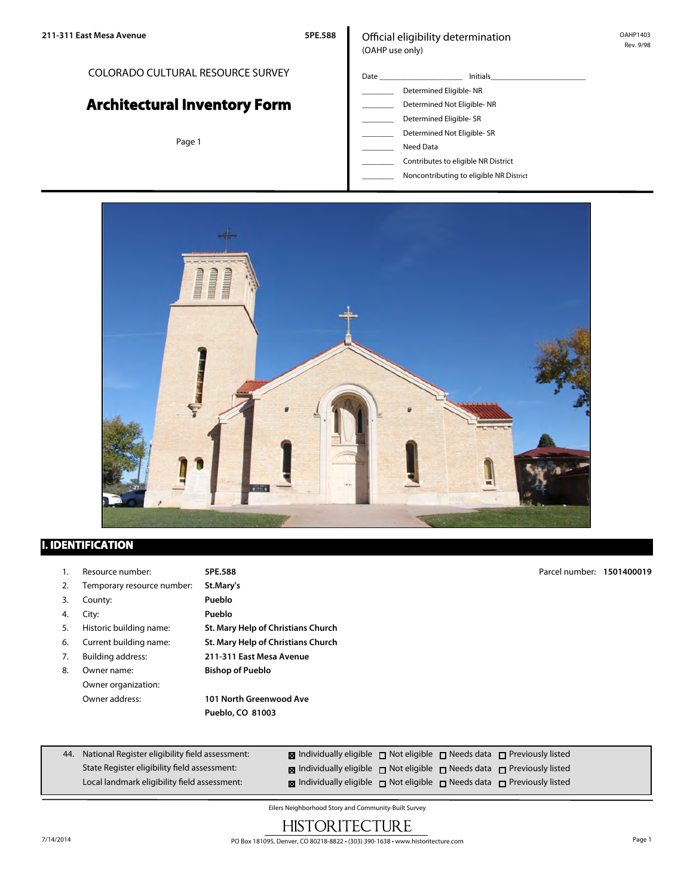### COLORADO CULTURAL RESOURCE SURVEY

# **Architectural Inventory Form**

Page 1

### Official eligibility determination (OAHP use only)

Date \_\_\_\_\_\_\_\_\_\_\_\_\_\_\_\_\_\_\_\_\_ Initials\_\_\_\_\_\_\_\_\_\_\_\_\_\_\_\_\_\_\_\_\_\_\_\_ Determined Eligible- NR Determined Not Eligible- NR Determined Eligible- SR Determined Not Eligible- SR \_\_\_\_\_\_\_\_ Need Data

\_\_\_\_\_\_\_\_ Contributes to eligible NR District

\_\_\_\_\_\_\_\_ Noncontributing to eligible NR District



### **I. IDENTIFICATION**

- 1. Resource number: **5PE.588**
- 2. Temporary resource number: **St.Mary's**

3. County: **Pueblo**

4. City: **Pueblo**

- 
- 
- 
- 8. Owner name: **Bishop of Pueblo** Owner organization:

5. Historic building name: **St. Mary Help of Christians Church** 6. Current building name: **St. Mary Help of Christians Church** 7. Building address: **211-311 East Mesa Avenue**

Owner address: **101 North Greenwood Ave Pueblo, CO 81003**

Parcel number: **1501400019**

| 44. National Register eligibility field assessment: | <b>x</b> Individually eligible $\Box$ Not eligible $\Box$ Needs data $\Box$ Previously listed    |  |  |
|-----------------------------------------------------|--------------------------------------------------------------------------------------------------|--|--|
| State Register eligibility field assessment:        | $\boxtimes$ Individually eligible $\Box$ Not eligible $\Box$ Needs data $\Box$ Previously listed |  |  |
| Local landmark eligibility field assessment:        | <b>x</b> Individually eligible $\Box$ Not eligible $\Box$ Needs data $\Box$ Previously listed    |  |  |

Eilers Neighborhood Story and Community-Built Survey

# **HISTORITECTURE**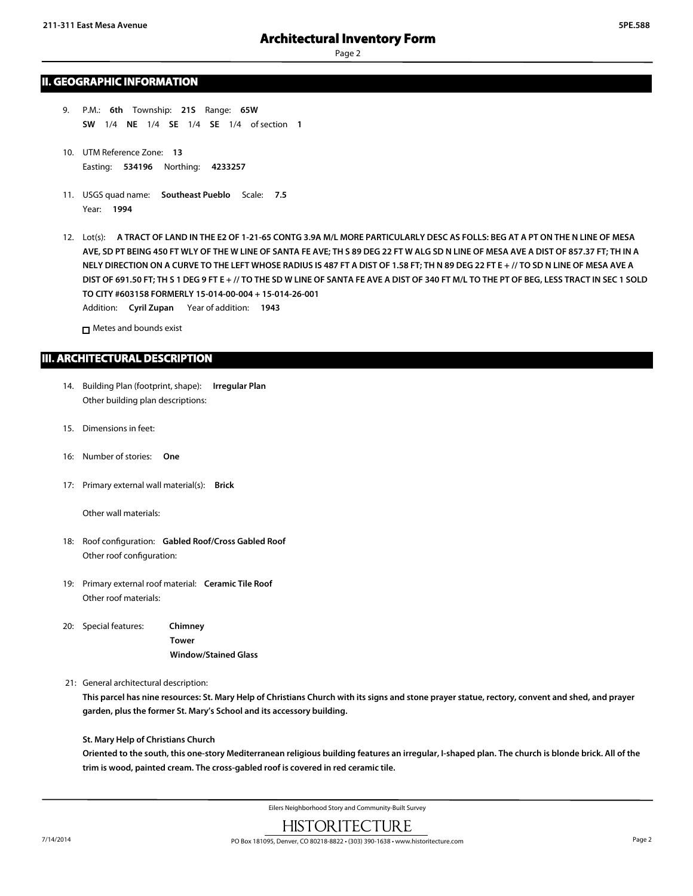### **II. GEOGRAPHIC INFORMATION**

- 9. P.M.: **6th** Township: **21S** Range: **65W SW** 1/4 **NE** 1/4 **SE** 1/4 **SE** 1/4 of section **1**
- 10. UTM Reference Zone: **13** Easting: **534196** Northing: **4233257**
- 11. USGS quad name: **Southeast Pueblo** Scale: **7.5** Year: **1994**
- 12. Lot(s): **A TRACT OF LAND IN THE E2 OF 1-21-65 CONTG 3.9A M/L MORE PARTICULARLY DESC AS FOLLS: BEG AT A PT ON THE N LINE OF MESA AVE, SD PT BEING 450 FT WLY OF THE W LINE OF SANTA FE AVE; TH S 89 DEG 22 FT W ALG SD N LINE OF MESA AVE A DIST OF 857.37 FT; TH IN A NELY DIRECTION ON A CURVE TO THE LEFT WHOSE RADIUS IS 487 FT A DIST OF 1.58 FT; TH N 89 DEG 22 FT E + // TO SD N LINE OF MESA AVE A DIST OF 691.50 FT; TH S 1 DEG 9 FT E + // TO THE SD W LINE OF SANTA FE AVE A DIST OF 340 FT M/L TO THE PT OF BEG, LESS TRACT IN SEC 1 SOLD TO CITY #603158 FORMERLY 15-014-00-004 + 15-014-26-001** Addition: **Cyril Zupan** Year of addition: **1943**

□ Metes and bounds exist

### **III. ARCHITECTURAL DESCRIPTION**

- 14. Building Plan (footprint, shape): **Irregular Plan** Other building plan descriptions:
- 15. Dimensions in feet:
- 16: Number of stories: **One**
- 17: Primary external wall material(s): **Brick**

Other wall materials:

- 18: Roof configuration: **Gabled Roof/Cross Gabled Roof** Other roof configuration:
- 19: Primary external roof material: **Ceramic Tile Roof** Other roof materials:
- 20: Special features: **Chimney Tower Window/Stained Glass**
- 21: General architectural description:

**This parcel has nine resources: St. Mary Help of Christians Church with its signs and stone prayer statue, rectory, convent and shed, and prayer garden, plus the former St. Mary's School and its accessory building.**

### **St. Mary Help of Christians Church**

**Oriented to the south, this one-story Mediterranean religious building features an irregular, I-shaped plan. The church is blonde brick. All of the trim is wood, painted cream. The cross-gabled roof is covered in red ceramic tile.**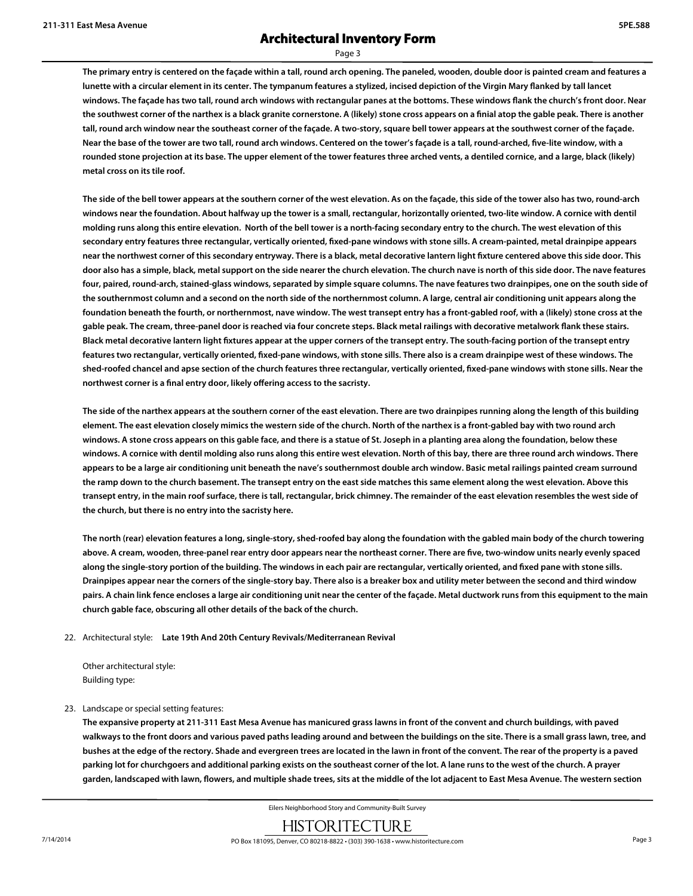Page 3

**The primary entry is centered on the façade within a tall, round arch opening. The paneled, wooden, double door is painted cream and features a lunette with a circular element in its center. The tympanum features a stylized, incised depiction of the Virgin Mary flanked by tall lancet windows. The façade has two tall, round arch windows with rectangular panes at the bottoms. These windows flank the church's front door. Near the southwest corner of the narthex is a black granite cornerstone. A (likely) stone cross appears on a finial atop the gable peak. There is another tall, round arch window near the southeast corner of the façade. A two-story, square bell tower appears at the southwest corner of the façade. Near the base of the tower are two tall, round arch windows. Centered on the tower's façade is a tall, round-arched, five-lite window, with a rounded stone projection at its base. The upper element of the tower features three arched vents, a dentiled cornice, and a large, black (likely) metal cross on its tile roof.**

**The side of the bell tower appears at the southern corner of the west elevation. As on the façade, this side of the tower also has two, round-arch windows near the foundation. About halfway up the tower is a small, rectangular, horizontally oriented, two-lite window. A cornice with dentil molding runs along this entire elevation. North of the bell tower is a north-facing secondary entry to the church. The west elevation of this secondary entry features three rectangular, vertically oriented, fixed-pane windows with stone sills. A cream-painted, metal drainpipe appears near the northwest corner of this secondary entryway. There is a black, metal decorative lantern light fixture centered above this side door. This door also has a simple, black, metal support on the side nearer the church elevation. The church nave is north of this side door. The nave features four, paired, round-arch, stained-glass windows, separated by simple square columns. The nave features two drainpipes, one on the south side of the southernmost column and a second on the north side of the northernmost column. A large, central air conditioning unit appears along the foundation beneath the fourth, or northernmost, nave window. The west transept entry has a front-gabled roof, with a (likely) stone cross at the gable peak. The cream, three-panel door is reached via four concrete steps. Black metal railings with decorative metalwork flank these stairs. Black metal decorative lantern light fixtures appear at the upper corners of the transept entry. The south-facing portion of the transept entry features two rectangular, vertically oriented, fixed-pane windows, with stone sills. There also is a cream drainpipe west of these windows. The shed-roofed chancel and apse section of the church features three rectangular, vertically oriented, fixed-pane windows with stone sills. Near the northwest corner is a final entry door, likely offering access to the sacristy.**

**The side of the narthex appears at the southern corner of the east elevation. There are two drainpipes running along the length of this building element. The east elevation closely mimics the western side of the church. North of the narthex is a front-gabled bay with two round arch windows. A stone cross appears on this gable face, and there is a statue of St. Joseph in a planting area along the foundation, below these windows. A cornice with dentil molding also runs along this entire west elevation. North of this bay, there are three round arch windows. There appears to be a large air conditioning unit beneath the nave's southernmost double arch window. Basic metal railings painted cream surround the ramp down to the church basement. The transept entry on the east side matches this same element along the west elevation. Above this transept entry, in the main roof surface, there is tall, rectangular, brick chimney. The remainder of the east elevation resembles the west side of the church, but there is no entry into the sacristy here.**

**The north (rear) elevation features a long, single-story, shed-roofed bay along the foundation with the gabled main body of the church towering above. A cream, wooden, three-panel rear entry door appears near the northeast corner. There are five, two-window units nearly evenly spaced along the single-story portion of the building. The windows in each pair are rectangular, vertically oriented, and fixed pane with stone sills. Drainpipes appear near the corners of the single-story bay. There also is a breaker box and utility meter between the second and third window pairs. A chain link fence encloses a large air conditioning unit near the center of the façade. Metal ductwork runs from this equipment to the main church gable face, obscuring all other details of the back of the church.**

### 22. Architectural style: **Late 19th And 20th Century Revivals/Mediterranean Revival**

Other architectural style: Building type:

### 23. Landscape or special setting features:

**The expansive property at 211-311 East Mesa Avenue has manicured grass lawns in front of the convent and church buildings, with paved walkways to the front doors and various paved paths leading around and between the buildings on the site. There is a small grass lawn, tree, and bushes at the edge of the rectory. Shade and evergreen trees are located in the lawn in front of the convent. The rear of the property is a paved parking lot for churchgoers and additional parking exists on the southeast corner of the lot. A lane runs to the west of the church. A prayer garden, landscaped with lawn, flowers, and multiple shade trees, sits at the middle of the lot adjacent to East Mesa Avenue. The western section**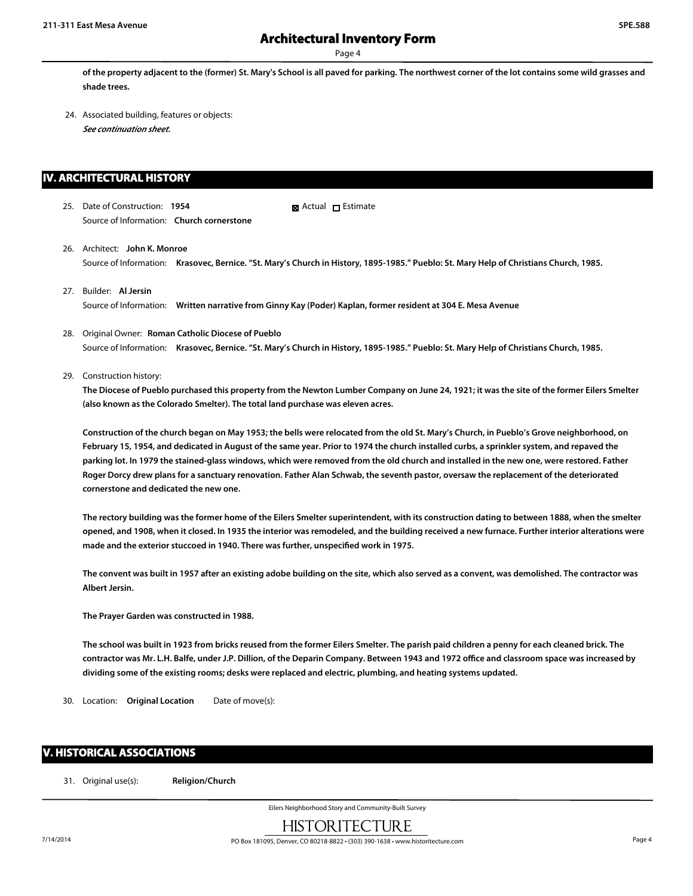Page 4

**of the property adjacent to the (former) St. Mary's School is all paved for parking. The northwest corner of the lot contains some wild grasses and shade trees.**

24. Associated building, features or objects: *See continuation sheet.*

### **IV. ARCHITECTURAL HISTORY**

25. Date of Construction: **1954** Source of Information: **Church cornerstone** ■ Actual □ Estimate

- 26. Architect: **John K. Monroe** Source of Information: **Krasovec, Bernice. "St. Mary's Church in History, 1895-1985." Pueblo: St. Mary Help of Christians Church, 1985.**
- 27. Builder: **Al Jersin** Source of Information: **Written narrative from Ginny Kay (Poder) Kaplan, former resident at 304 E. Mesa Avenue**
- 28. Original Owner: **Roman Catholic Diocese of Pueblo** Source of Information: **Krasovec, Bernice. "St. Mary's Church in History, 1895-1985." Pueblo: St. Mary Help of Christians Church, 1985.**
- 29. Construction history:

**The Diocese of Pueblo purchased this property from the Newton Lumber Company on June 24, 1921; it was the site of the former Eilers Smelter (also known as the Colorado Smelter). The total land purchase was eleven acres.**

**Construction of the church began on May 1953; the bells were relocated from the old St. Mary's Church, in Pueblo's Grove neighborhood, on February 15, 1954, and dedicated in August of the same year. Prior to 1974 the church installed curbs, a sprinkler system, and repaved the parking lot. In 1979 the stained-glass windows, which were removed from the old church and installed in the new one, were restored. Father Roger Dorcy drew plans for a sanctuary renovation. Father Alan Schwab, the seventh pastor, oversaw the replacement of the deteriorated cornerstone and dedicated the new one.**

**The rectory building was the former home of the Eilers Smelter superintendent, with its construction dating to between 1888, when the smelter opened, and 1908, when it closed. In 1935 the interior was remodeled, and the building received a new furnace. Further interior alterations were made and the exterior stuccoed in 1940. There was further, unspecified work in 1975.**

**The convent was built in 1957 after an existing adobe building on the site, which also served as a convent, was demolished. The contractor was Albert Jersin.**

**The Prayer Garden was constructed in 1988.**

**The school was built in 1923 from bricks reused from the former Eilers Smelter. The parish paid children a penny for each cleaned brick. The contractor was Mr. L.H. Balfe, under J.P. Dillion, of the Deparin Company. Between 1943 and 1972 office and classroom space was increased by dividing some of the existing rooms; desks were replaced and electric, plumbing, and heating systems updated.**

30. Location: **Original Location** Date of move(s):

### **V. HISTORICAL ASSOCIATIONS**

31. Original use(s): **Religion/Church**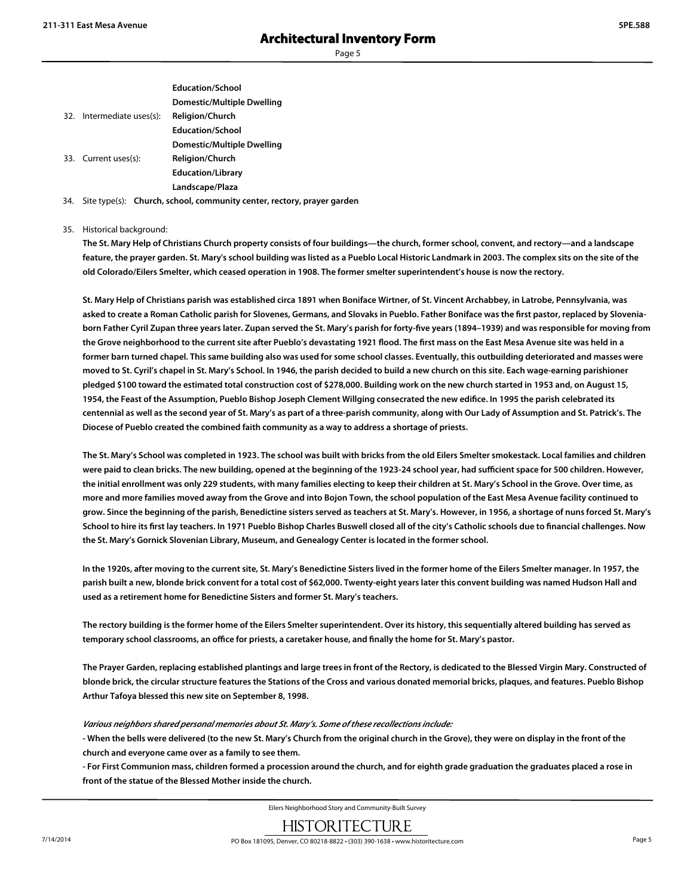|                           | <b>Education/School</b>    |
|---------------------------|----------------------------|
|                           | Domestic/Multiple Dwelling |
| 32. Intermediate uses(s): | <b>Religion/Church</b>     |
|                           | <b>Education/School</b>    |
|                           | Domestic/Multiple Dwelling |
| 33. Current uses(s):      | <b>Religion/Church</b>     |
|                           | <b>Education/Library</b>   |
|                           | Landscape/Plaza            |
|                           |                            |

34. Site type(s): **Church, school, community center, rectory, prayer garden**

35. Historical background:

**The St. Mary Help of Christians Church property consists of four buildings—the church, former school, convent, and rectory—and a landscape feature, the prayer garden. St. Mary's school building was listed as a Pueblo Local Historic Landmark in 2003. The complex sits on the site of the old Colorado/Eilers Smelter, which ceased operation in 1908. The former smelter superintendent's house is now the rectory.**

**St. Mary Help of Christians parish was established circa 1891 when Boniface Wirtner, of St. Vincent Archabbey, in Latrobe, Pennsylvania, was asked to create a Roman Catholic parish for Slovenes, Germans, and Slovaks in Pueblo. Father Boniface was the first pastor, replaced by Sloveniaborn Father Cyril Zupan three years later. Zupan served the St. Mary's parish for forty-five years (1894–1939) and was responsible for moving from the Grove neighborhood to the current site after Pueblo's devastating 1921 flood. The first mass on the East Mesa Avenue site was held in a former barn turned chapel. This same building also was used for some school classes. Eventually, this outbuilding deteriorated and masses were moved to St. Cyril's chapel in St. Mary's School. In 1946, the parish decided to build a new church on this site. Each wage-earning parishioner pledged \$100 toward the estimated total construction cost of \$278,000. Building work on the new church started in 1953 and, on August 15, 1954, the Feast of the Assumption, Pueblo Bishop Joseph Clement Willging consecrated the new edifice. In 1995 the parish celebrated its centennial as well as the second year of St. Mary's as part of a three-parish community, along with Our Lady of Assumption and St. Patrick's. The Diocese of Pueblo created the combined faith community as a way to address a shortage of priests.**

**The St. Mary's School was completed in 1923. The school was built with bricks from the old Eilers Smelter smokestack. Local families and children were paid to clean bricks. The new building, opened at the beginning of the 1923-24 school year, had sufficient space for 500 children. However, the initial enrollment was only 229 students, with many families electing to keep their children at St. Mary's School in the Grove. Over time, as more and more families moved away from the Grove and into Bojon Town, the school population of the East Mesa Avenue facility continued to grow. Since the beginning of the parish, Benedictine sisters served as teachers at St. Mary's. However, in 1956, a shortage of nuns forced St. Mary's School to hire its first lay teachers. In 1971 Pueblo Bishop Charles Buswell closed all of the city's Catholic schools due to financial challenges. Now the St. Mary's Gornick Slovenian Library, Museum, and Genealogy Center is located in the former school.**

**In the 1920s, after moving to the current site, St. Mary's Benedictine Sisters lived in the former home of the Eilers Smelter manager. In 1957, the parish built a new, blonde brick convent for a total cost of \$62,000. Twenty-eight years later this convent building was named Hudson Hall and used as a retirement home for Benedictine Sisters and former St. Mary's teachers.**

**The rectory building is the former home of the Eilers Smelter superintendent. Over its history, this sequentially altered building has served as temporary school classrooms, an office for priests, a caretaker house, and finally the home for St. Mary's pastor.**

**The Prayer Garden, replacing established plantings and large trees in front of the Rectory, is dedicated to the Blessed Virgin Mary. Constructed of blonde brick, the circular structure features the Stations of the Cross and various donated memorial bricks, plaques, and features. Pueblo Bishop Arthur Tafoya blessed this new site on September 8, 1998.**

*Various neighbors shared personal memories about St. Mary's. Some of these recollections include:*

**- When the bells were delivered (to the new St. Mary's Church from the original church in the Grove), they were on display in the front of the church and everyone came over as a family to see them.**

**- For First Communion mass, children formed a procession around the church, and for eighth grade graduation the graduates placed a rose in front of the statue of the Blessed Mother inside the church.**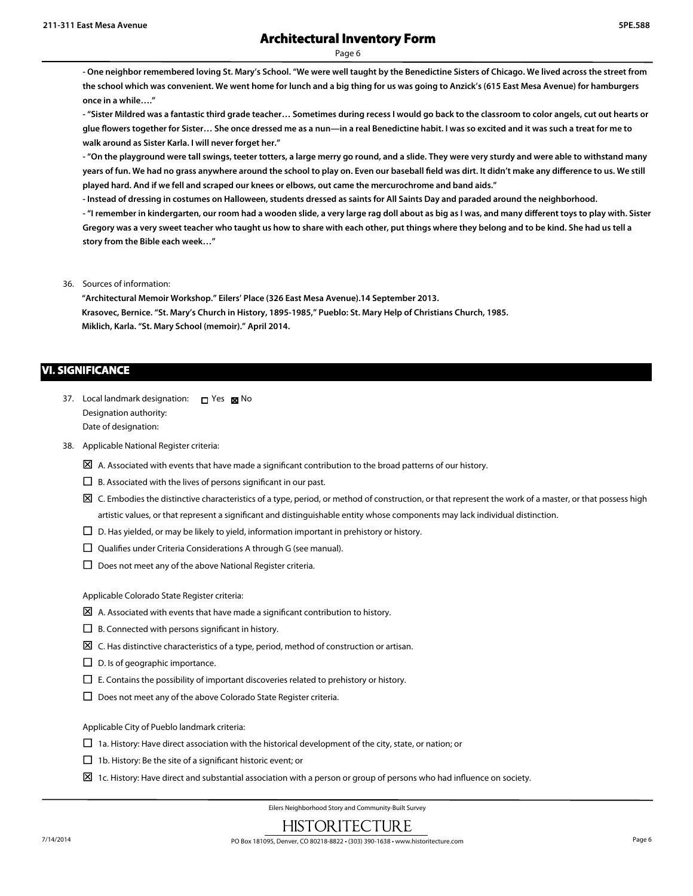**- One neighbor remembered loving St. Mary's School. "We were well taught by the Benedictine Sisters of Chicago. We lived across the street from the school which was convenient. We went home for lunch and a big thing for us was going to Anzick's (615 East Mesa Avenue) for hamburgers once in a while…."**

**- "Sister Mildred was a fantastic third grade teacher… Sometimes during recess I would go back to the classroom to color angels, cut out hearts or glue flowers together for Sister… She once dressed me as a nun—in a real Benedictine habit. I was so excited and it was such a treat for me to walk around as Sister Karla. I will never forget her."**

**- "On the playground were tall swings, teeter totters, a large merry go round, and a slide. They were very sturdy and were able to withstand many years of fun. We had no grass anywhere around the school to play on. Even our baseball field was dirt. It didn't make any difference to us. We still played hard. And if we fell and scraped our knees or elbows, out came the mercurochrome and band aids."**

**- Instead of dressing in costumes on Halloween, students dressed as saints for All Saints Day and paraded around the neighborhood.**

**- "I remember in kindergarten, our room had a wooden slide, a very large rag doll about as big as I was, and many different toys to play with. Sister Gregory was a very sweet teacher who taught us how to share with each other, put things where they belong and to be kind. She had us tell a story from the Bible each week…"**

36. Sources of information:

**"Architectural Memoir Workshop." Eilers' Place (326 East Mesa Avenue).14 September 2013. Krasovec, Bernice. "St. Mary's Church in History, 1895-1985," Pueblo: St. Mary Help of Christians Church, 1985. Miklich, Karla. "St. Mary School (memoir)." April 2014.**

### **VI. SIGNIFICANCE**

- 37. Local landmark designation: D Yes M No Designation authority: Date of designation:
- 38. Applicable National Register criteria:
	- $\boxtimes$  A. Associated with events that have made a significant contribution to the broad patterns of our history.
	- $\square$  B. Associated with the lives of persons significant in our past.
	- $\boxtimes$  C. Embodies the distinctive characteristics of a type, period, or method of construction, or that represent the work of a master, or that possess high artistic values, or that represent a significant and distinguishable entity whose components may lack individual distinction.
	- $\Box$  D. Has yielded, or may be likely to yield, information important in prehistory or history.
	- $\square$  Qualifies under Criteria Considerations A through G (see manual).
	- $\square$  Does not meet any of the above National Register criteria.

Applicable Colorado State Register criteria:

- $\boxtimes$  A. Associated with events that have made a significant contribution to history.
- $\square$  B. Connected with persons significant in history.
- $\boxtimes$  C. Has distinctive characteristics of a type, period, method of construction or artisan.
- $\square$  D. Is of geographic importance.
- $\square$  E. Contains the possibility of important discoveries related to prehistory or history.
- $\square$  Does not meet any of the above Colorado State Register criteria.

Applicable City of Pueblo landmark criteria:

- $\Box$  1a. History: Have direct association with the historical development of the city, state, or nation; or
- $\Box$  1b. History: Be the site of a significant historic event; or
- $\Sigma$  1c. History: Have direct and substantial association with a person or group of persons who had influence on society.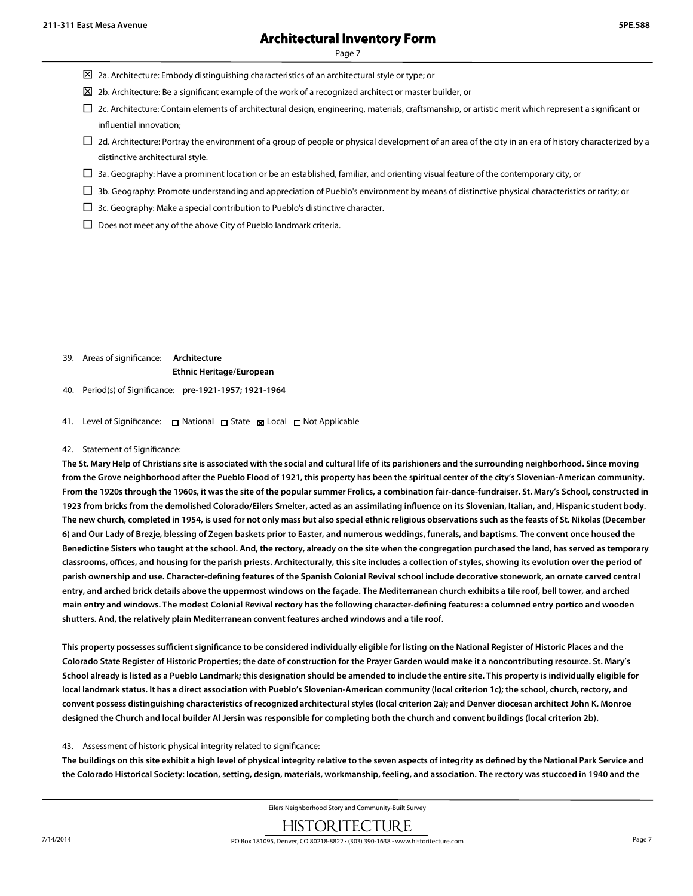Page 7

- $\boxtimes$  2a. Architecture: Embody distinguishing characteristics of an architectural style or type; or
- $\boxtimes$  2b. Architecture: Be a significant example of the work of a recognized architect or master builder, or
- $\Box$  2c. Architecture: Contain elements of architectural design, engineering, materials, craftsmanship, or artistic merit which represent a significant or influential innovation;
- $\Box$  2d. Architecture: Portray the environment of a group of people or physical development of an area of the city in an era of history characterized by a distinctive architectural style.
- $\Box$  3a. Geography: Have a prominent location or be an established, familiar, and orienting visual feature of the contemporary city, or
- $\Box$  3b. Geography: Promote understanding and appreciation of Pueblo's environment by means of distinctive physical characteristics or rarity; or
- $\Box$  3c. Geography: Make a special contribution to Pueblo's distinctive character.
- $\square$  Does not meet any of the above City of Pueblo landmark criteria.

39. Areas of significance: **Architecture**

**Ethnic Heritage/European**

- 40. Period(s) of Significance: **pre-1921-1957; 1921-1964**
- 41. Level of Significance: □ National □ State Local □ Not Applicable

#### 42. Statement of Significance:

**The St. Mary Help of Christians site is associated with the social and cultural life of its parishioners and the surrounding neighborhood. Since moving from the Grove neighborhood after the Pueblo Flood of 1921, this property has been the spiritual center of the city's Slovenian-American community. From the 1920s through the 1960s, it was the site of the popular summer Frolics, a combination fair-dance-fundraiser. St. Mary's School, constructed in 1923 from bricks from the demolished Colorado/Eilers Smelter, acted as an assimilating influence on its Slovenian, Italian, and, Hispanic student body. The new church, completed in 1954, is used for not only mass but also special ethnic religious observations such as the feasts of St. Nikolas (December 6) and Our Lady of Brezje, blessing of Zegen baskets prior to Easter, and numerous weddings, funerals, and baptisms. The convent once housed the Benedictine Sisters who taught at the school. And, the rectory, already on the site when the congregation purchased the land, has served as temporary classrooms, offices, and housing for the parish priests. Architecturally, this site includes a collection of styles, showing its evolution over the period of parish ownership and use. Character-defining features of the Spanish Colonial Revival school include decorative stonework, an ornate carved central entry, and arched brick details above the uppermost windows on the façade. The Mediterranean church exhibits a tile roof, bell tower, and arched main entry and windows. The modest Colonial Revival rectory has the following character-defining features: a columned entry portico and wooden shutters. And, the relatively plain Mediterranean convent features arched windows and a tile roof.**

**This property possesses sufficient significance to be considered individually eligible for listing on the National Register of Historic Places and the Colorado State Register of Historic Properties; the date of construction for the Prayer Garden would make it a noncontributing resource. St. Mary's School already is listed as a Pueblo Landmark; this designation should be amended to include the entire site. This property is individually eligible for local landmark status. It has a direct association with Pueblo's Slovenian-American community (local criterion 1c); the school, church, rectory, and convent possess distinguishing characteristics of recognized architectural styles (local criterion 2a); and Denver diocesan architect John K. Monroe designed the Church and local builder Al Jersin was responsible for completing both the church and convent buildings (local criterion 2b).**

### 43. Assessment of historic physical integrity related to significance:

**The buildings on this site exhibit a high level of physical integrity relative to the seven aspects of integrity as defined by the National Park Service and the Colorado Historical Society: location, setting, design, materials, workmanship, feeling, and association. The rectory was stuccoed in 1940 and the**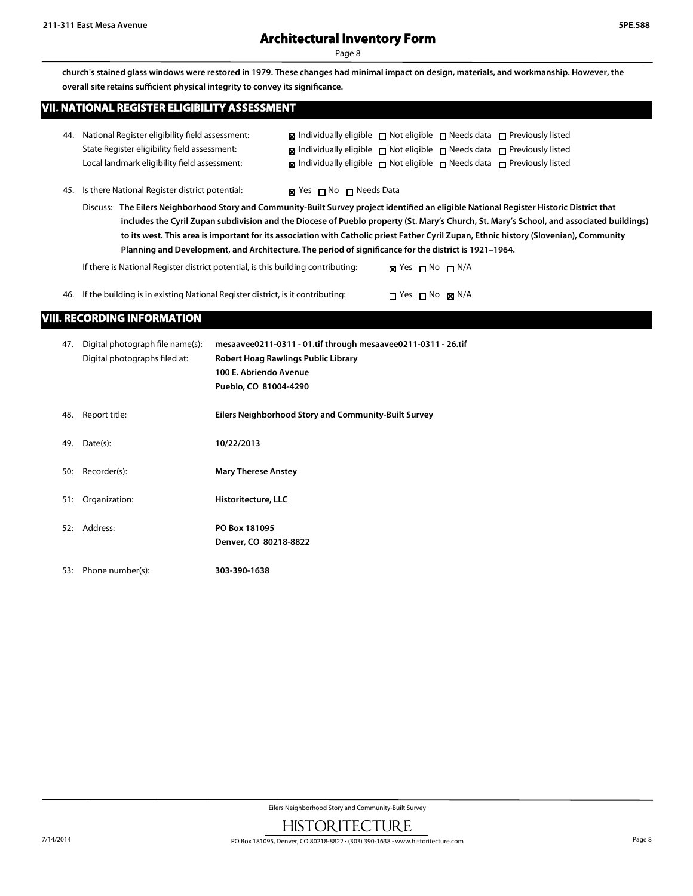**church's stained glass windows were restored in 1979. These changes had minimal impact on design, materials, and workmanship. However, the overall site retains sufficient physical integrity to convey its significance.**

| VII. NATIONAL REGISTER ELIGIBILITY ASSESSMENT |
|-----------------------------------------------|
|                                               |
|                                               |
|                                               |
|                                               |
|                                               |
|                                               |
|                                               |
|                                               |
|                                               |

| 44. National Register eligibility field assessment: | <b>x</b> Individually eligible $\Box$ Not eligible $\Box$ Needs data $\Box$ Previously listed                         |  |  |
|-----------------------------------------------------|-----------------------------------------------------------------------------------------------------------------------|--|--|
| State Register eligibility field assessment:        | <b>x</b> Individually eligible $\blacksquare$ Not eligible $\blacksquare$ Needs data $\blacksquare$ Previously listed |  |  |
| Local landmark eligibility field assessment:        | $\boxtimes$ Individually eligible $\Box$ Not eligible $\Box$ Needs data $\Box$ Previously listed                      |  |  |

45. Is there National Register district potential:

|  | Yes □ No □ Needs Data |
|--|-----------------------|
|--|-----------------------|

Discuss: **The Eilers Neighborhood Story and Community-Built Survey project identified an eligible National Register Historic District that includes the Cyril Zupan subdivision and the Diocese of Pueblo property (St. Mary's Church, St. Mary's School, and associated buildings) to its west. This area is important for its association with Catholic priest Father Cyril Zupan, Ethnic history (Slovenian), Community Planning and Development, and Architecture. The period of significance for the district is 1921–1964.**

| If there is National Register district potential, is this building contributing:   | <b>גא</b> Yes רא No                  |  |
|------------------------------------------------------------------------------------|--------------------------------------|--|
| 46. If the building is in existing National Register district, is it contributing: | $\Box$ Yes $\Box$ No $\boxtimes$ N/A |  |

### **VIII. RECORDING INFORMATION**

| 47. | Digital photograph file name(s):<br>Digital photographs filed at: | mesaavee0211-0311 - 01.tif through mesaavee0211-0311 - 26.tif<br>Robert Hoag Rawlings Public Library<br>100 E. Abriendo Avenue<br>Pueblo, CO 81004-4290 |
|-----|-------------------------------------------------------------------|---------------------------------------------------------------------------------------------------------------------------------------------------------|
| 48. | Report title:                                                     | Eilers Neighborhood Story and Community-Built Survey                                                                                                    |
| 49. | Date(s):                                                          | 10/22/2013                                                                                                                                              |
| 50: | Recorder(s):                                                      | <b>Mary Therese Anstey</b>                                                                                                                              |
| 51: | Organization:                                                     | Historitecture, LLC                                                                                                                                     |
| 52: | Address:                                                          | PO Box 181095<br>Denver, CO 80218-8822                                                                                                                  |
| 53: | Phone number(s):                                                  | 303-390-1638                                                                                                                                            |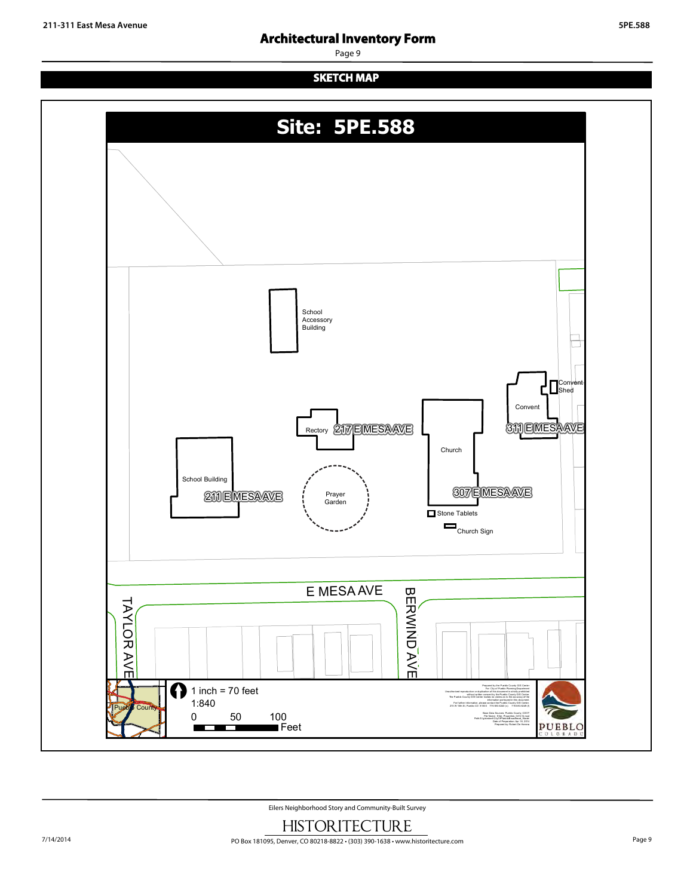Page 9

# **SKETCH MAP**

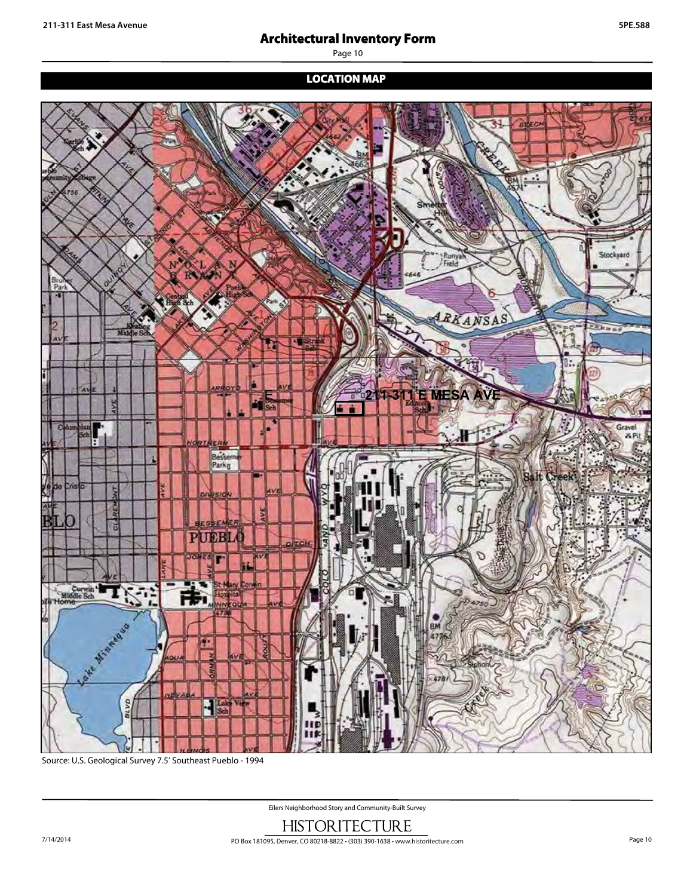Page 10

# **LOCATION MAP**



Source: U.S. Geological Survey 7.5' Southeast Pueblo - 1994

[ 1 inch = 2,000 feet = 2,000 feet = 2,000 feet = 2,000 feet = 2,000 feet = 2,000 feet = 2,000 feet = 2,000 fe

Eilers Neighborhood Story and Community-Built Survey

with written consent by the Pueblo County Gisage and Pueblo County Gisage and Pueblo County Gisage and Pueblo C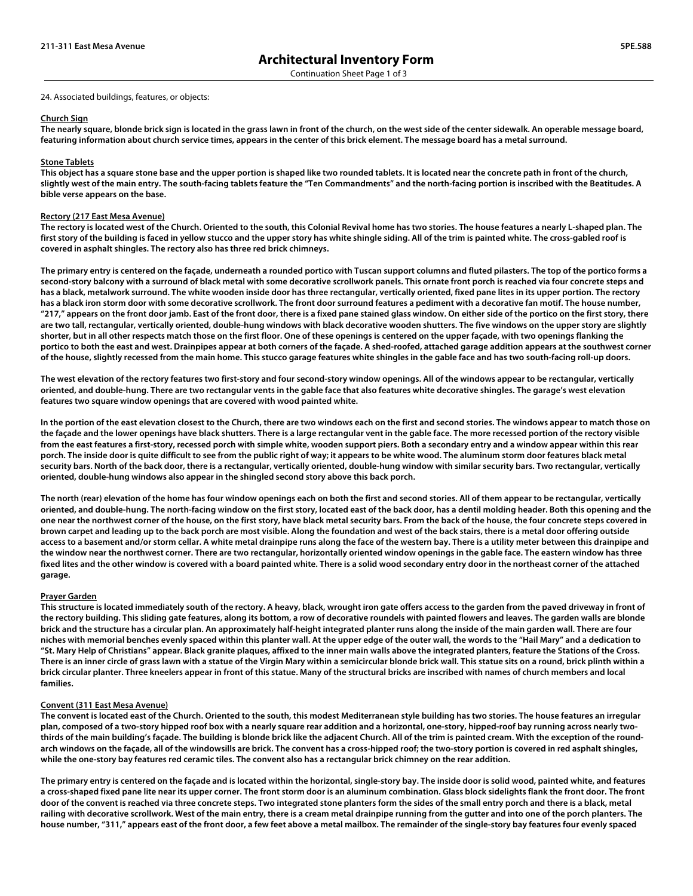#### 24. Associated buildings, features, or objects:

#### **Church Sign**

**The nearly square, blonde brick sign is located in the grass lawn in front of the church, on the west side of the center sidewalk. An operable message board, featuring information about church service times, appears in the center of this brick element. The message board has a metal surround.** 

#### **Stone Tablets**

**This object has a square stone base and the upper portion is shaped like two rounded tablets. It is located near the concrete path in front of the church, slightly west of the main entry. The south-facing tablets feature the "Ten Commandments" and the north-facing portion is inscribed with the Beatitudes. A bible verse appears on the base.**

#### **Rectory (217 East Mesa Avenue)**

**The rectory is located west of the Church. Oriented to the south, this Colonial Revival home has two stories. The house features a nearly L-shaped plan. The first story of the building is faced in yellow stucco and the upper story has white shingle siding. All of the trim is painted white. The cross-gabled roof is covered in asphalt shingles. The rectory also has three red brick chimneys.** 

**The primary entry is centered on the façade, underneath a rounded portico with Tuscan support columns and fluted pilasters. The top of the portico forms a second-story balcony with a surround of black metal with some decorative scrollwork panels. This ornate front porch is reached via four concrete steps and has a black, metalwork surround. The white wooden inside door has three rectangular, vertically oriented, fixed pane lites in its upper portion. The rectory has a black iron storm door with some decorative scrollwork. The front door surround features a pediment with a decorative fan motif. The house number, "217," appears on the front door jamb. East of the front door, there is a fixed pane stained glass window. On either side of the portico on the first story, there are two tall, rectangular, vertically oriented, double-hung windows with black decorative wooden shutters. The five windows on the upper story are slightly shorter, but in all other respects match those on the first floor. One of these openings is centered on the upper façade, with two openings flanking the portico to both the east and west. Drainpipes appear at both corners of the façade. A shed-roofed, attached garage addition appears at the southwest corner of the house, slightly recessed from the main home. This stucco garage features white shingles in the gable face and has two south-facing roll-up doors.** 

**The west elevation of the rectory features two first-story and four second-story window openings. All of the windows appear to be rectangular, vertically oriented, and double-hung. There are two rectangular vents in the gable face that also features white decorative shingles. The garage's west elevation features two square window openings that are covered with wood painted white.** 

**In the portion of the east elevation closest to the Church, there are two windows each on the first and second stories. The windows appear to match those on the façade and the lower openings have black shutters. There is a large rectangular vent in the gable face. The more recessed portion of the rectory visible from the east features a first-story, recessed porch with simple white, wooden support piers. Both a secondary entry and a window appear within this rear porch. The inside door is quite difficult to see from the public right of way; it appears to be white wood. The aluminum storm door features black metal security bars. North of the back door, there is a rectangular, vertically oriented, double-hung window with similar security bars. Two rectangular, vertically oriented, double-hung windows also appear in the shingled second story above this back porch.** 

**The north (rear) elevation of the home has four window openings each on both the first and second stories. All of them appear to be rectangular, vertically oriented, and double-hung. The north-facing window on the first story, located east of the back door, has a dentil molding header. Both this opening and the one near the northwest corner of the house, on the first story, have black metal security bars. From the back of the house, the four concrete steps covered in brown carpet and leading up to the back porch are most visible. Along the foundation and west of the back stairs, there is a metal door offering outside access to a basement and/or storm cellar. A white metal drainpipe runs along the face of the western bay. There is a utility meter between this drainpipe and the window near the northwest corner. There are two rectangular, horizontally oriented window openings in the gable face. The eastern window has three fixed lites and the other window is covered with a board painted white. There is a solid wood secondary entry door in the northeast corner of the attached garage.** 

#### **Prayer Garden**

**This structure is located immediately south of the rectory. A heavy, black, wrought iron gate offers access to the garden from the paved driveway in front of the rectory building. This sliding gate features, along its bottom, a row of decorative roundels with painted flowers and leaves. The garden walls are blonde brick and the structure has a circular plan. An approximately half-height integrated planter runs along the inside of the main garden wall. There are four niches with memorial benches evenly spaced within this planter wall. At the upper edge of the outer wall, the words to the "Hail Mary" and a dedication to "St. Mary Help of Christians" appear. Black granite plaques, affixed to the inner main walls above the integrated planters, feature the Stations of the Cross. There is an inner circle of grass lawn with a statue of the Virgin Mary within a semicircular blonde brick wall. This statue sits on a round, brick plinth within a brick circular planter. Three kneelers appear in front of this statue. Many of the structural bricks are inscribed with names of church members and local families.**

#### **Convent (311 East Mesa Avenue)**

**The convent is located east of the Church. Oriented to the south, this modest Mediterranean style building has two stories. The house features an irregular plan, composed of a two-story hipped roof box with a nearly square rear addition and a horizontal, one-story, hipped-roof bay running across nearly twothirds of the main building's façade. The building is blonde brick like the adjacent Church. All of the trim is painted cream. With the exception of the roundarch windows on the façade, all of the windowsills are brick. The convent has a cross-hipped roof; the two-story portion is covered in red asphalt shingles, while the one-story bay features red ceramic tiles. The convent also has a rectangular brick chimney on the rear addition.** 

**The primary entry is centered on the façade and is located within the horizontal, single-story bay. The inside door is solid wood, painted white, and features a cross-shaped fixed pane lite near its upper corner. The front storm door is an aluminum combination. Glass block sidelights flank the front door. The front door of the convent is reached via three concrete steps. Two integrated stone planters form the sides of the small entry porch and there is a black, metal railing with decorative scrollwork. West of the main entry, there is a cream metal drainpipe running from the gutter and into one of the porch planters. The house number, "311," appears east of the front door, a few feet above a metal mailbox. The remainder of the single-story bay features four evenly spaced**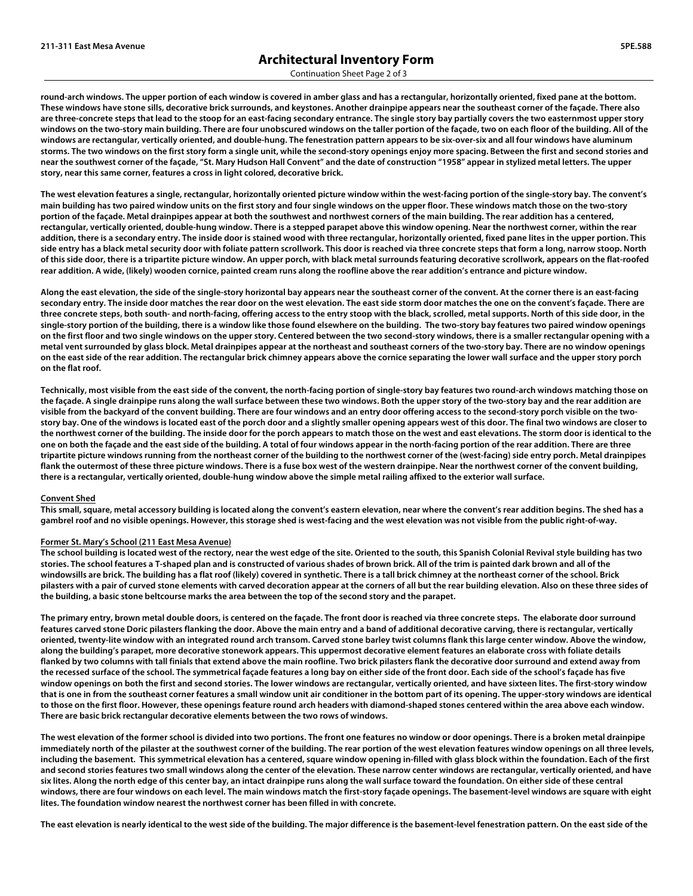Continuation Sheet Page 2 of 3

**round-arch windows. The upper portion of each window is covered in amber glass and has a rectangular, horizontally oriented, fixed pane at the bottom. These windows have stone sills, decorative brick surrounds, and keystones. Another drainpipe appears near the southeast corner of the façade. There also are three-concrete steps that lead to the stoop for an east-facing secondary entrance. The single story bay partially covers the two easternmost upper story windows on the two-story main building. There are four unobscured windows on the taller portion of the façade, two on each floor of the building. All of the windows are rectangular, vertically oriented, and double-hung. The fenestration pattern appears to be six-over-six and all four windows have aluminum storms. The two windows on the first story form a single unit, while the second-story openings enjoy more spacing. Between the first and second stories and near the southwest corner of the façade, "St. Mary Hudson Hall Convent" and the date of construction "1958" appear in stylized metal letters. The upper story, near this same corner, features a cross in light colored, decorative brick.** 

**The west elevation features a single, rectangular, horizontally oriented picture window within the west-facing portion of the single-story bay. The convent's main building has two paired window units on the first story and four single windows on the upper floor. These windows match those on the two-story portion of the façade. Metal drainpipes appear at both the southwest and northwest corners of the main building. The rear addition has a centered, rectangular, vertically oriented, double-hung window. There is a stepped parapet above this window opening. Near the northwest corner, within the rear addition, there is a secondary entry. The inside door is stained wood with three rectangular, horizontally oriented, fixed pane lites in the upper portion. This side entry has a black metal security door with foliate pattern scrollwork. This door is reached via three concrete steps that form a long, narrow stoop. North of this side door, there is a tripartite picture window. An upper porch, with black metal surrounds featuring decorative scrollwork, appears on the flat-roofed rear addition. A wide, (likely) wooden cornice, painted cream runs along the roofline above the rear addition's entrance and picture window.** 

**Along the east elevation, the side of the single-story horizontal bay appears near the southeast corner of the convent. At the corner there is an east-facing secondary entry. The inside door matches the rear door on the west elevation. The east side storm door matches the one on the convent's façade. There are three concrete steps, both south- and north-facing, offering access to the entry stoop with the black, scrolled, metal supports. North of this side door, in the single-story portion of the building, there is a window like those found elsewhere on the building. The two-story bay features two paired window openings on the first floor and two single windows on the upper story. Centered between the two second-story windows, there is a smaller rectangular opening with a metal vent surrounded by glass block. Metal drainpipes appear at the northeast and southeast corners of the two-story bay. There are no window openings on the east side of the rear addition. The rectangular brick chimney appears above the cornice separating the lower wall surface and the upper story porch on the flat roof.** 

**Technically, most visible from the east side of the convent, the north-facing portion of single-story bay features two round-arch windows matching those on the façade. A single drainpipe runs along the wall surface between these two windows. Both the upper story of the two-story bay and the rear addition are visible from the backyard of the convent building. There are four windows and an entry door offering access to the second-story porch visible on the twostory bay. One of the windows is located east of the porch door and a slightly smaller opening appears west of this door. The final two windows are closer to the northwest corner of the building. The inside door for the porch appears to match those on the west and east elevations. The storm door is identical to the one on both the façade and the east side of the building. A total of four windows appear in the north-facing portion of the rear addition. There are three tripartite picture windows running from the northeast corner of the building to the northwest corner of the (west-facing) side entry porch. Metal drainpipes flank the outermost of these three picture windows. There is a fuse box west of the western drainpipe. Near the northwest corner of the convent building, there is a rectangular, vertically oriented, double-hung window above the simple metal railing affixed to the exterior wall surface.** 

#### **Convent Shed**

**This small, square, metal accessory building is located along the convent's eastern elevation, near where the convent's rear addition begins. The shed has a gambrel roof and no visible openings. However, this storage shed is west-facing and the west elevation was not visible from the public right-of-way.** 

#### **Former St. Mary's School (211 East Mesa Avenue)**

**The school building is located west of the rectory, near the west edge of the site. Oriented to the south, this Spanish Colonial Revival style building has two stories. The school features a T-shaped plan and is constructed of various shades of brown brick. All of the trim is painted dark brown and all of the windowsills are brick. The building has a flat roof (likely) covered in synthetic. There is a tall brick chimney at the northeast corner of the school. Brick pilasters with a pair of curved stone elements with carved decoration appear at the corners of all but the rear building elevation. Also on these three sides of the building, a basic stone beltcourse marks the area between the top of the second story and the parapet.** 

**The primary entry, brown metal double doors, is centered on the façade. The front door is reached via three concrete steps. The elaborate door surround features carved stone Doric pilasters flanking the door. Above the main entry and a band of additional decorative carving, there is rectangular, vertically oriented, twenty-lite window with an integrated round arch transom. Carved stone barley twist columns flank this large center window. Above the window, along the building's parapet, more decorative stonework appears. This uppermost decorative element features an elaborate cross with foliate details flanked by two columns with tall finials that extend above the main roofline. Two brick pilasters flank the decorative door surround and extend away from the recessed surface of the school. The symmetrical façade features a long bay on either side of the front door. Each side of the school's façade has five window openings on both the first and second stories. The lower windows are rectangular, vertically oriented, and have sixteen lites. The first-story window that is one in from the southeast corner features a small window unit air conditioner in the bottom part of its opening. The upper-story windows are identical to those on the first floor. However, these openings feature round arch headers with diamond-shaped stones centered within the area above each window. There are basic brick rectangular decorative elements between the two rows of windows.** 

**The west elevation of the former school is divided into two portions. The front one features no window or door openings. There is a broken metal drainpipe immediately north of the pilaster at the southwest corner of the building. The rear portion of the west elevation features window openings on all three levels, including the basement. This symmetrical elevation has a centered, square window opening in-filled with glass block within the foundation. Each of the first and second stories features two small windows along the center of the elevation. These narrow center windows are rectangular, vertically oriented, and have six lites. Along the north edge of this center bay, an intact drainpipe runs along the wall surface toward the foundation. On either side of these central windows, there are four windows on each level. The main windows match the first-story façade openings. The basement-level windows are square with eight lites. The foundation window nearest the northwest corner has been filled in with concrete.** 

**The east elevation is nearly identical to the west side of the building. The major difference is the basement-level fenestration pattern. On the east side of the**